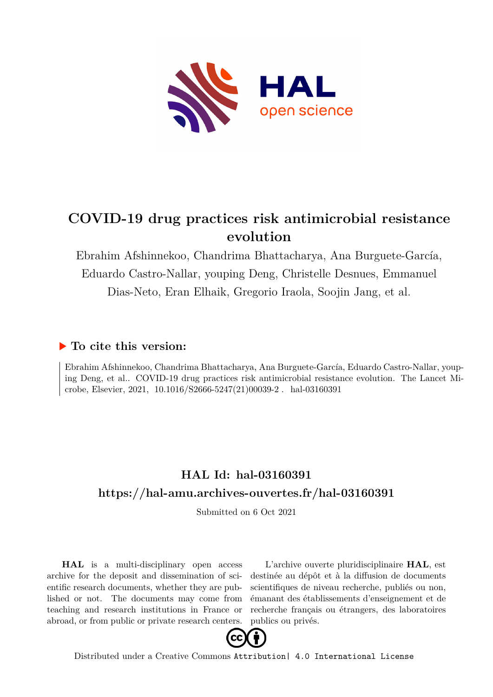

# **COVID-19 drug practices risk antimicrobial resistance evolution**

Ebrahim Afshinnekoo, Chandrima Bhattacharya, Ana Burguete-García, Eduardo Castro-Nallar, youping Deng, Christelle Desnues, Emmanuel Dias-Neto, Eran Elhaik, Gregorio Iraola, Soojin Jang, et al.

#### **To cite this version:**

Ebrahim Afshinnekoo, Chandrima Bhattacharya, Ana Burguete-García, Eduardo Castro-Nallar, youping Deng, et al.. COVID-19 drug practices risk antimicrobial resistance evolution. The Lancet Microbe, Elsevier, 2021, 10.1016/S2666-5247(21)00039-2. hal-03160391

## **HAL Id: hal-03160391 <https://hal-amu.archives-ouvertes.fr/hal-03160391>**

Submitted on 6 Oct 2021

**HAL** is a multi-disciplinary open access archive for the deposit and dissemination of scientific research documents, whether they are published or not. The documents may come from teaching and research institutions in France or abroad, or from public or private research centers.

L'archive ouverte pluridisciplinaire **HAL**, est destinée au dépôt et à la diffusion de documents scientifiques de niveau recherche, publiés ou non, émanant des établissements d'enseignement et de recherche français ou étrangers, des laboratoires publics ou privés.



Distributed under a Creative Commons [Attribution| 4.0 International License](http://creativecommons.org/licenses/by/4.0/)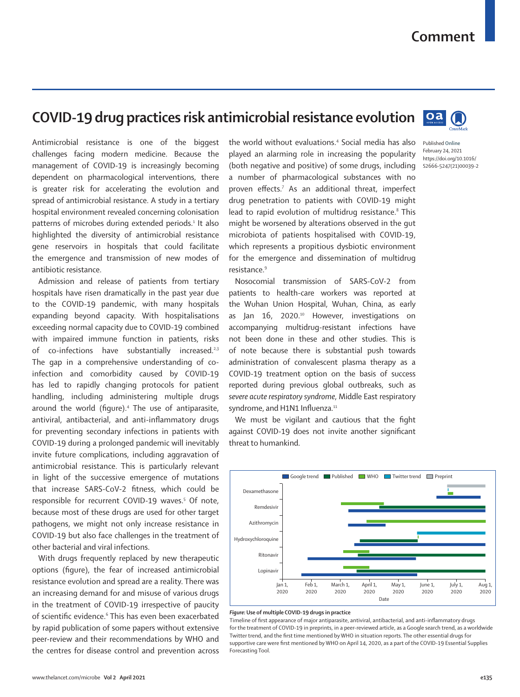### **Comment**

## **COVID-19 drug practices risk antimicrobial resistance evolution**

 $oa$ 

Published **Online** February 24, 2021 https://doi.org/10.1016/ S2666-5247(21)00039-2

Antimicrobial resistance is one of the biggest challenges facing modern medicine. Because the management of COVID-19 is increasingly becoming dependent on pharmacological interventions, there is greater risk for accelerating the evolution and spread of antimicrobial resistance. A study in a tertiary hospital environment revealed concerning colonisation patterns of microbes during extended periods.<sup>1</sup> It also highlighted the diversity of antimicrobial resistance gene reservoirs in hospitals that could facilitate the emergence and transmission of new modes of antibiotic resistance.

Admission and release of patients from tertiary hospitals have risen dramatically in the past year due to the COVID-19 pandemic, with many hospitals expanding beyond capacity. With hospitalisations exceeding normal capacity due to COVID-19 combined with impaired immune function in patients, risks of co-infections have substantially increased.<sup>2,3</sup> The gap in a comprehensive understanding of coinfection and comorbidity caused by COVID-19 has led to rapidly changing protocols for patient handling, including administering multiple drugs around the world (figure).4 The use of antiparasite, antiviral, antibacterial, and anti-inflammatory drugs for preventing secondary infections in patients with COVID-19 during a prolonged pandemic will inevitably invite future complications, including aggravation of antimicrobial resistance. This is particularly relevant in light of the successive emergence of mutations that increase SARS-CoV-2 fitness, which could be responsible for recurrent COVID-19 waves.<sup>5</sup> Of note, because most of these drugs are used for other target pathogens, we might not only increase resistance in COVID-19 but also face challenges in the treatment of other bacterial and viral infections.

With drugs frequently replaced by new therapeutic options (figure), the fear of increased antimicrobial resistance evolution and spread are a reality. There was an increasing demand for and misuse of various drugs in the treatment of COVID-19 irrespective of paucity of scientific evidence.<sup>6</sup> This has even been exacerbated by rapid publication of some papers without extensive peer-review and their recommendations by WHO and the centres for disease control and prevention across

the world without evaluations.4 Social media has also played an alarming role in increasing the popularity (both negative and positive) of some drugs, including a number of pharmacological substances with no proven effects.<sup>7</sup> As an additional threat, imperfect drug penetration to patients with COVID-19 might lead to rapid evolution of multidrug resistance.<sup>8</sup> This might be worsened by alterations observed in the gut microbiota of patients hospitalised with COVID-19, which represents a propitious dysbiotic environment for the emergence and dissemination of multidrug resistance.9

Nosocomial transmission of SARS-CoV-2 from patients to health-care workers was reported at the Wuhan Union Hospital, Wuhan, China, as early as Jan 16, 2020.<sup>10</sup> However, investigations on accompanying multidrug-resistant infections have not been done in these and other studies. This is of note because there is substantial push towards administration of convalescent plasma therapy as a COVID-19 treatment option on the basis of success reported during previous global outbreaks, such as *severe acute respiratory syndrome*, Middle East respiratory syndrome, and H1N1 Influenza.<sup>11</sup>

We must be vigilant and cautious that the fight against COVID-19 does not invite another significant threat to humankind.



#### *Figure:* **Use of multiple COVID-19 drugs in practice**

Timeline of first appearance of major antiparasite, antiviral, antibacterial, and anti-inflammatory drugs for the treatment of COVID-19 in preprints, in a peer-reviewed article, as a Google search trend, as a worldwide Twitter trend, and the first time mentioned by WHO in situation reports. The other essential drugs for supportive care were first mentioned by WHO on April 14, 2020, as a part of the COVID-19 Essential Supplies Forecasting Tool.